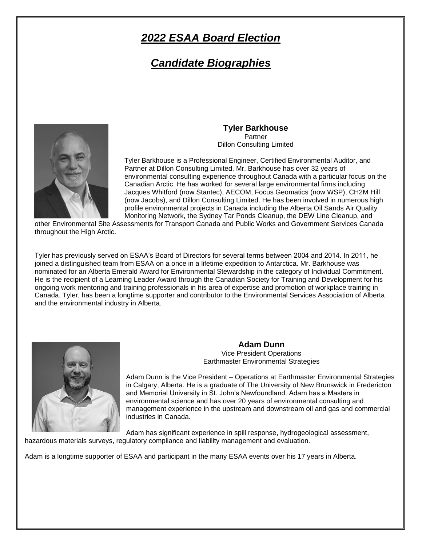# *2022 ESAA Board Election*

# *Candidate Biographies*



### **Tyler Barkhouse Partner**

Dillon Consulting Limited

Tyler Barkhouse is a Professional Engineer, Certified Environmental Auditor, and Partner at Dillon Consulting Limited. Mr. Barkhouse has over 32 years of environmental consulting experience throughout Canada with a particular focus on the Canadian Arctic. He has worked for several large environmental firms including Jacques Whitford (now Stantec), AECOM, Focus Geomatics (now WSP), CH2M Hill (now Jacobs), and Dillon Consulting Limited. He has been involved in numerous high profile environmental projects in Canada including the Alberta Oil Sands Air Quality Monitoring Network, the Sydney Tar Ponds Cleanup, the DEW Line Cleanup, and

other Environmental Site Assessments for Transport Canada and Public Works and Government Services Canada throughout the High Arctic.

Tyler has previously served on ESAA's Board of Directors for several terms between 2004 and 2014. In 2011, he joined a distinguished team from ESAA on a once in a lifetime expedition to Antarctica. Mr. Barkhouse was nominated for an Alberta Emerald Award for Environmental Stewardship in the category of Individual Commitment. He is the recipient of a Learning Leader Award through the Canadian Society for Training and Development for his ongoing work mentoring and training professionals in his area of expertise and promotion of workplace training in Canada. Tyler, has been a longtime supporter and contributor to the Environmental Services Association of Alberta and the environmental industry in Alberta.



**Adam Dunn** Vice President Operations Earthmaster Environmental Strategies

Adam Dunn is the Vice President – Operations at Earthmaster Environmental Strategies in Calgary, Alberta. He is a graduate of The University of New Brunswick in Fredericton and Memorial University in St. John's Newfoundland. Adam has a Masters in environmental science and has over 20 years of environmental consulting and management experience in the upstream and downstream oil and gas and commercial industries in Canada.

Adam has significant experience in spill response, hydrogeological assessment, hazardous materials surveys, regulatory compliance and liability management and evaluation.

Adam is a longtime supporter of ESAA and participant in the many ESAA events over his 17 years in Alberta.